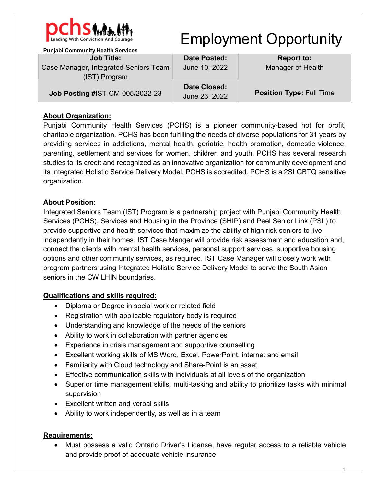

# Employment Opportunity

| <b>Punjabi Community Health Services</b>               |                     |                                 |
|--------------------------------------------------------|---------------------|---------------------------------|
| <b>Job Title:</b>                                      | <b>Date Posted:</b> | <b>Report to:</b>               |
| Case Manager, Integrated Seniors Team<br>(IST) Program | June 10, 2022       | Manager of Health               |
| Job Posting #IST-CM-005/2022-23                        | <b>Date Closed:</b> | <b>Position Type: Full Time</b> |
|                                                        | June 23, 2022       |                                 |

## **About Organization:**

Punjabi Community Health Services (PCHS) is a pioneer community-based not for profit, charitable organization. PCHS has been fulfilling the needs of diverse populations for 31 years by providing services in addictions, mental health, geriatric, health promotion, domestic violence, parenting, settlement and services for women, children and youth. PCHS has several research studies to its credit and recognized as an innovative organization for community development and its Integrated Holistic Service Delivery Model. PCHS is accredited. PCHS is a 2SLGBTQ sensitive organization.

## About Position:

Integrated Seniors Team (IST) Program is a partnership project with Punjabi Community Health Services (PCHS), Services and Housing in the Province (SHIP) and Peel Senior Link (PSL) to provide supportive and health services that maximize the ability of high risk seniors to live independently in their homes. IST Case Manger will provide risk assessment and education and, connect the clients with mental health services, personal support services, supportive housing options and other community services, as required. IST Case Manager will closely work with program partners using Integrated Holistic Service Delivery Model to serve the South Asian seniors in the CW LHIN boundaries.

## Qualifications and skills required:

- Diploma or Degree in social work or related field
- Registration with applicable regulatory body is required
- Understanding and knowledge of the needs of the seniors
- Ability to work in collaboration with partner agencies
- Experience in crisis management and supportive counselling
- Excellent working skills of MS Word, Excel, PowerPoint, internet and email
- Familiarity with Cloud technology and Share-Point is an asset
- Effective communication skills with individuals at all levels of the organization
- Superior time management skills, multi-tasking and ability to prioritize tasks with minimal supervision
- Excellent written and verbal skills
- Ability to work independently, as well as in a team

## Requirements:

 Must possess a valid Ontario Driver's License, have regular access to a reliable vehicle and provide proof of adequate vehicle insurance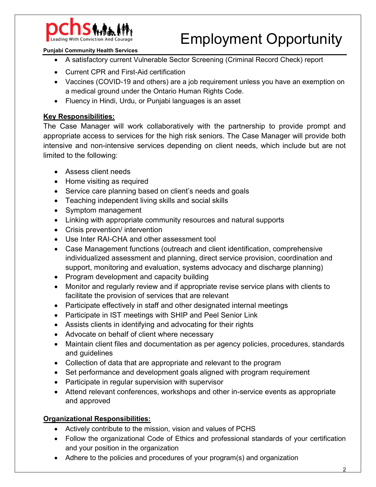

# Employment Opportunity

#### Punjabi Community Health Services

- A satisfactory current Vulnerable Sector Screening (Criminal Record Check) report
- Current CPR and First-Aid certification
- Vaccines (COVID-19 and others) are a job requirement unless you have an exemption on a medical ground under the Ontario Human Rights Code.
- Fluency in Hindi, Urdu, or Punjabi languages is an asset

#### Key Responsibilities:

The Case Manager will work collaboratively with the partnership to provide prompt and appropriate access to services for the high risk seniors. The Case Manager will provide both intensive and non-intensive services depending on client needs, which include but are not limited to the following:

- Assess client needs
- Home visiting as required
- Service care planning based on client's needs and goals
- Teaching independent living skills and social skills
- Symptom management
- Linking with appropriate community resources and natural supports
- Crisis prevention/ intervention
- Use Inter RAI-CHA and other assessment tool
- Case Management functions (outreach and client identification, comprehensive individualized assessment and planning, direct service provision, coordination and support, monitoring and evaluation, systems advocacy and discharge planning)
- Program development and capacity building
- Monitor and regularly review and if appropriate revise service plans with clients to facilitate the provision of services that are relevant
- Participate effectively in staff and other designated internal meetings
- Participate in IST meetings with SHIP and Peel Senior Link
- Assists clients in identifying and advocating for their rights
- Advocate on behalf of client where necessary
- Maintain client files and documentation as per agency policies, procedures, standards and guidelines
- Collection of data that are appropriate and relevant to the program
- Set performance and development goals aligned with program requirement
- Participate in regular supervision with supervisor
- Attend relevant conferences, workshops and other in-service events as appropriate and approved

#### Organizational Responsibilities:

- Actively contribute to the mission, vision and values of PCHS
- Follow the organizational Code of Ethics and professional standards of your certification and your position in the organization
- Adhere to the policies and procedures of your program(s) and organization